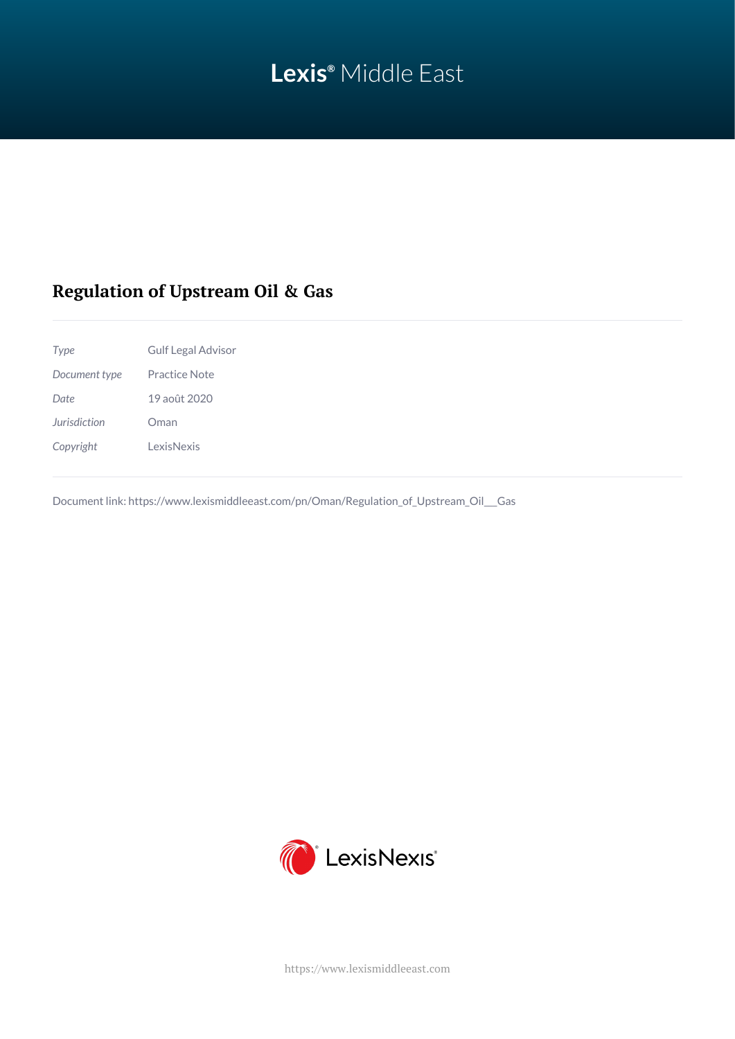# **Lexis®** Middle East

# **Regulation of Upstream Oil & Gas**

| Type          | <b>Gulf Legal Advisor</b> |
|---------------|---------------------------|
| Document type | Practice Note             |
| Date.         | 19 août 2020              |
| Jurisdiction  | Oman                      |
| Copyright     | <b>LexisNexis</b>         |
|               |                           |

Document link: [https://www.lexismiddleeast.com/pn/Oman/Regulation\\_of\\_Upstream\\_Oil\\_\\_\\_Gas](https://www.lexismiddleeast.com/pn/Oman/Regulation_of_Upstream_Oil___Gas)



<https://www.lexismiddleeast.com>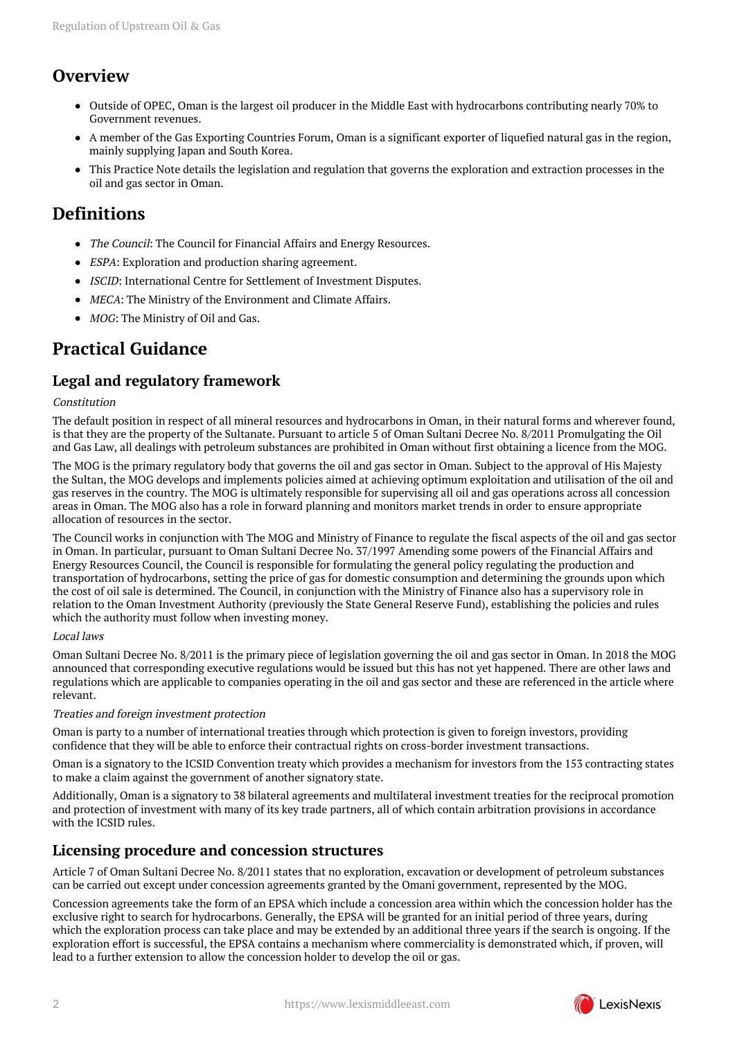# **Overview**

- Outside of OPEC, Oman is the largest oil producer in the Middle East with hydrocarbons contributing nearly 70% to Government revenues.
- A member of the Gas Exporting Countries Forum, Oman is a significant exporter of liquefied natural gas in the region, mainly supplying Japan and South Korea.
- This Practice Note details the legislation and regulation that governs the exploration and extraction processes in the oil and gas sector in Oman.

## **Definitions**

- The Council: The Council for Financial Affairs and Energy Resources.
- ESPA: Exploration and production sharing agreement.
- ISCID: International Centre for Settlement of Investment Disputes.
- MECA: The Ministry of the Environment and Climate Affairs.
- MOG: The Ministry of Oil and Gas.

### **Practical Guidance**

### **Legal and regulatory framework**

#### Constitution

The default position in respect of all mineral resources and hydrocarbons in Oman, in their natural forms and wherever found, is that they are the property of the Sultanate. Pursuant to article 5 of Oman Sultani Decree No. 8/2011 Promulgating the Oil and Gas Law, all dealings with petroleum substances are prohibited in Oman without first obtaining a licence from the MOG.

The MOG is the primary regulatory body that governs the oil and gas sector in Oman. Subject to the approval of His Majesty the Sultan, the MOG develops and implements policies aimed at achieving optimum exploitation and utilisation of the oil and gas reserves in the country. The MOG is ultimately responsible for supervising all oil and gas operations across all concession areas in Oman. The MOG also has a role in forward planning and monitors market trends in order to ensure appropriate allocation of resources in the sector.

The Council works in conjunction with The MOG and Ministry of Finance to regulate the fiscal aspects of the oil and gas sector in Oman. In particular, pursuant to Oman Sultani Decree No. 37/1997 Amending some powers of the Financial Affairs and Energy Resources Council, the Council is responsible for formulating the general policy regulating the production and transportation of hydrocarbons, setting the price of gas for domestic consumption and determining the grounds upon which the cost of oil sale is determined. The Council, in conjunction with the Ministry of Finance also has a supervisory role in relation to the Oman Investment Authority (previously the State General Reserve Fund), establishing the policies and rules which the authority must follow when investing money.

#### Local laws

Oman Sultani Decree No. 8/2011 is the primary piece of legislation governing the oil and gas sector in Oman. In 2018 the MOG announced that corresponding executive regulations would be issued but this has not yet happened. There are other laws and regulations which are applicable to companies operating in the oil and gas sector and these are referenced in the article where relevant.

#### Treaties and foreign investment protection

Oman is party to a number of international treaties through which protection is given to foreign investors, providing confidence that they will be able to enforce their contractual rights on cross-border investment transactions.

Oman is a signatory to the ICSID Convention treaty which provides a mechanism for investors from the 153 contracting states to make a claim against the government of another signatory state.

Additionally, Oman is a signatory to 38 bilateral agreements and multilateral investment treaties for the reciprocal promotion and protection of investment with many of its key trade partners, all of which contain arbitration provisions in accordance with the **ICSID** rules.

### **Licensing procedure and concession structures**

Article 7 of Oman Sultani Decree No. 8/2011 states that no exploration, excavation or development of petroleum substances can be carried out except under concession agreements granted by the Omani government, represented by the MOG.

Concession agreements take the form of an EPSA which include a concession area within which the concession holder has the exclusive right to search for hydrocarbons. Generally, the EPSA will be granted for an initial period of three years, during which the exploration process can take place and may be extended by an additional three years if the search is ongoing. If the exploration effort is successful, the EPSA contains a mechanism where commerciality is demonstrated which, if proven, will lead to a further extension to allow the concession holder to develop the oil or gas.

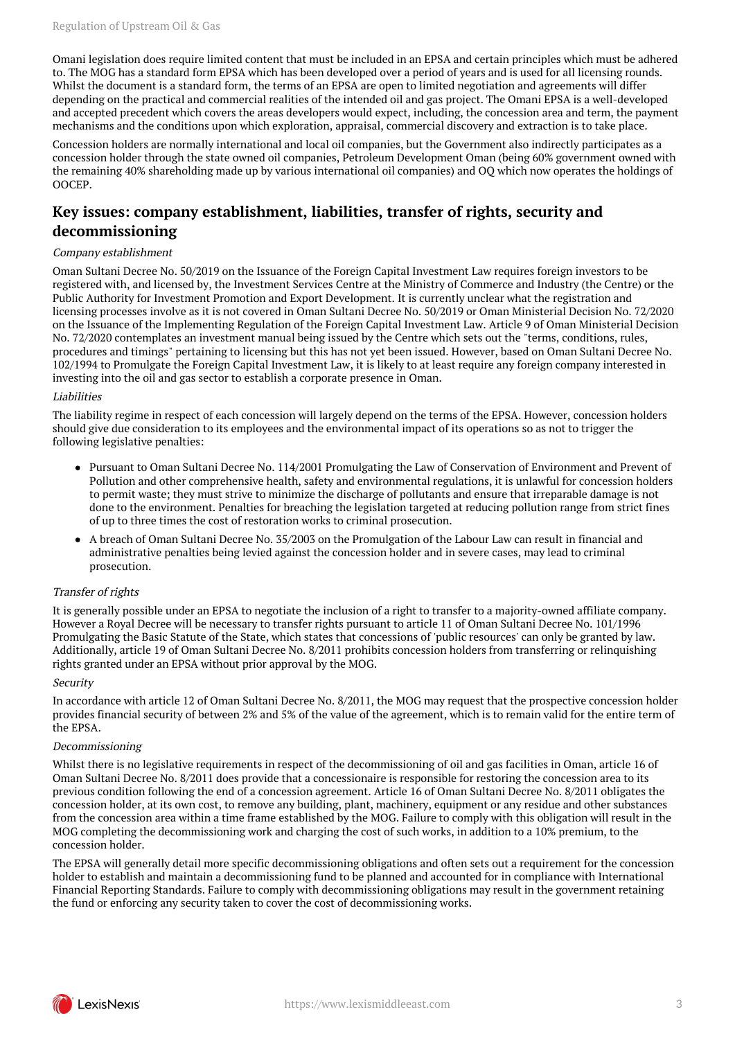Omani legislation does require limited content that must be included in an EPSA and certain principles which must be adhered to. The MOG has a standard form EPSA which has been developed over a period of years and is used for all licensing rounds. Whilst the document is a standard form, the terms of an EPSA are open to limited negotiation and agreements will differ depending on the practical and commercial realities of the intended oil and gas project. The Omani EPSA is a well-developed and accepted precedent which covers the areas developers would expect, including, the concession area and term, the payment mechanisms and the conditions upon which exploration, appraisal, commercial discovery and extraction is to take place.

Concession holders are normally international and local oil companies, but the Government also indirectly participates as a concession holder through the state owned oil companies, Petroleum Development Oman (being 60% government owned with the remaining 40% shareholding made up by various international oil companies) and OQ which now operates the holdings of OOCEP.

### **Key issues: company establishment, liabilities, transfer of rights, security and decommissioning**

#### Company establishment

Oman Sultani Decree No. 50/2019 on the Issuance of the Foreign Capital Investment Law requires foreign investors to be registered with, and licensed by, the Investment Services Centre at the Ministry of Commerce and Industry (the Centre) or the Public Authority for Investment Promotion and Export Development. It is currently unclear what the registration and licensing processes involve as it is not covered in Oman Sultani Decree No. 50/2019 or Oman Ministerial Decision No. 72/2020 on the Issuance of the Implementing Regulation of the Foreign Capital Investment Law. Article 9 of Oman Ministerial Decision No. 72/2020 contemplates an investment manual being issued by the Centre which sets out the "terms, conditions, rules, procedures and timings" pertaining to licensing but this has not yet been issued. However, based on Oman Sultani Decree No. 102/1994 to Promulgate the Foreign Capital Investment Law, it is likely to at least require any foreign company interested in investing into the oil and gas sector to establish a corporate presence in Oman.

#### Liabilities

The liability regime in respect of each concession will largely depend on the terms of the EPSA. However, concession holders should give due consideration to its employees and the environmental impact of its operations so as not to trigger the following legislative penalties:

- Pursuant to Oman Sultani Decree No. 114/2001 Promulgating the Law of Conservation of Environment and Prevent of Pollution and other comprehensive health, safety and environmental regulations, it is unlawful for concession holders to permit waste; they must strive to minimize the discharge of pollutants and ensure that irreparable damage is not done to the environment. Penalties for breaching the legislation targeted at reducing pollution range from strict fines of up to three times the cost of restoration works to criminal prosecution.
- A breach of Oman Sultani Decree No. 35/2003 on the Promulgation of the Labour Law can result in financial and administrative penalties being levied against the concession holder and in severe cases, may lead to criminal prosecution.

#### Transfer of rights

It is generally possible under an EPSA to negotiate the inclusion of a right to transfer to a majority-owned affiliate company. However a Royal Decree will be necessary to transfer rights pursuant to article 11 of Oman Sultani Decree No. 101/1996 Promulgating the Basic Statute of the State, which states that concessions of 'public resources' can only be granted by law. Additionally, article 19 of Oman Sultani Decree No. 8/2011 prohibits concession holders from transferring or relinquishing rights granted under an EPSA without prior approval by the MOG.

#### Security

In accordance with article 12 of Oman Sultani Decree No. 8/2011, the MOG may request that the prospective concession holder provides financial security of between 2% and 5% of the value of the agreement, which is to remain valid for the entire term of the EPSA.

#### Decommissioning

Whilst there is no legislative requirements in respect of the decommissioning of oil and gas facilities in Oman, article 16 of Oman Sultani Decree No. 8/2011 does provide that a concessionaire is responsible for restoring the concession area to its previous condition following the end of a concession agreement. Article 16 of Oman Sultani Decree No. 8/2011 obligates the concession holder, at its own cost, to remove any building, plant, machinery, equipment or any residue and other substances from the concession area within a time frame established by the MOG. Failure to comply with this obligation will result in the MOG completing the decommissioning work and charging the cost of such works, in addition to a 10% premium, to the concession holder.

The EPSA will generally detail more specific decommissioning obligations and often sets out a requirement for the concession holder to establish and maintain a decommissioning fund to be planned and accounted for in compliance with International Financial Reporting Standards. Failure to comply with decommissioning obligations may result in the government retaining the fund or enforcing any security taken to cover the cost of decommissioning works.

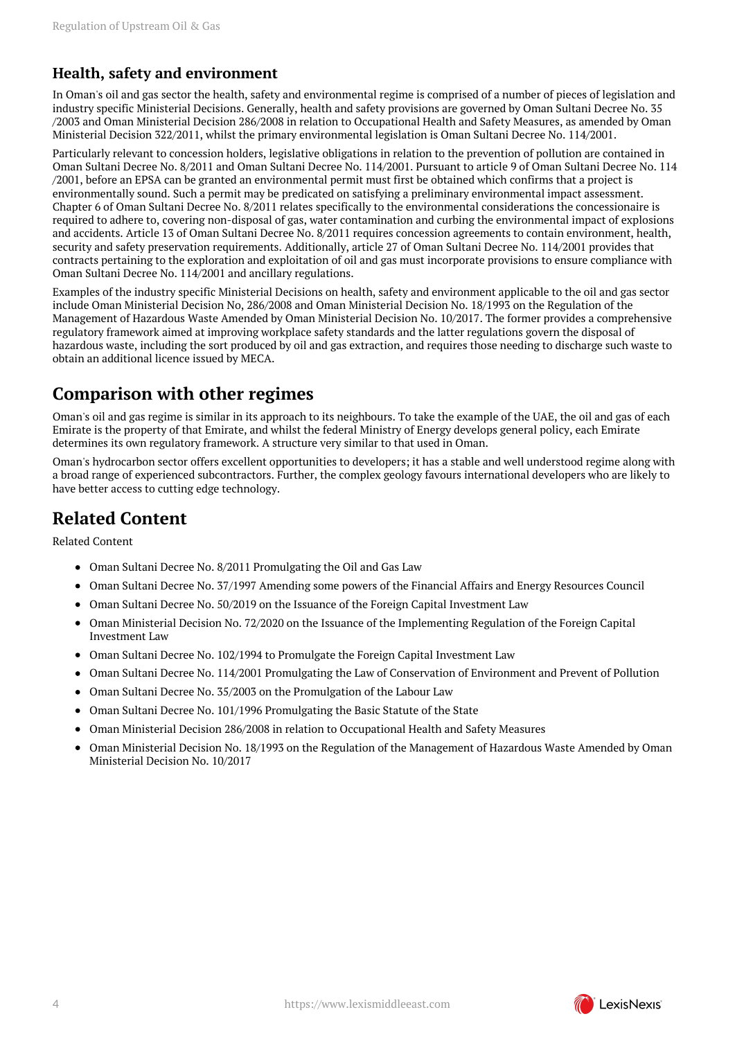### **Health, safety and environment**

In Oman's oil and gas sector the health, safety and environmental regime is comprised of a number of pieces of legislation and industry specific Ministerial Decisions. Generally, health and safety provisions are governed by Oman Sultani Decree No. 35 /2003 and Oman Ministerial Decision 286/2008 in relation to Occupational Health and Safety Measures, as amended by Oman Ministerial Decision 322/2011, whilst the primary environmental legislation is Oman Sultani Decree No. 114/2001.

Particularly relevant to concession holders, legislative obligations in relation to the prevention of pollution are contained in Oman Sultani Decree No. 8/2011 and Oman Sultani Decree No. 114/2001. Pursuant to article 9 of Oman Sultani Decree No. 114 /2001, before an EPSA can be granted an environmental permit must first be obtained which confirms that a project is environmentally sound. Such a permit may be predicated on satisfying a preliminary environmental impact assessment. Chapter 6 of Oman Sultani Decree No. 8/2011 relates specifically to the environmental considerations the concessionaire is required to adhere to, covering non-disposal of gas, water contamination and curbing the environmental impact of explosions and accidents. Article 13 of Oman Sultani Decree No. 8/2011 requires concession agreements to contain environment, health, security and safety preservation requirements. Additionally, article 27 of Oman Sultani Decree No. 114/2001 provides that contracts pertaining to the exploration and exploitation of oil and gas must incorporate provisions to ensure compliance with Oman Sultani Decree No. 114/2001 and ancillary regulations.

Examples of the industry specific Ministerial Decisions on health, safety and environment applicable to the oil and gas sector include Oman Ministerial Decision No, 286/2008 and Oman Ministerial Decision No. 18/1993 on the Regulation of the Management of Hazardous Waste Amended by Oman Ministerial Decision No. 10/2017. The former provides a comprehensive regulatory framework aimed at improving workplace safety standards and the latter regulations govern the disposal of hazardous waste, including the sort produced by oil and gas extraction, and requires those needing to discharge such waste to obtain an additional licence issued by MECA.

### **Comparison with other regimes**

Oman's oil and gas regime is similar in its approach to its neighbours. To take the example of the UAE, the oil and gas of each Emirate is the property of that Emirate, and whilst the federal Ministry of Energy develops general policy, each Emirate determines its own regulatory framework. A structure very similar to that used in Oman.

Oman's hydrocarbon sector offers excellent opportunities to developers; it has a stable and well understood regime along with a broad range of experienced subcontractors. Further, the complex geology favours international developers who are likely to have better access to cutting edge technology.

# **Related Content**

Related Content

- Oman Sultani Decree No. 8/2011 Promulgating the Oil and Gas Law
- Oman Sultani Decree No. 37/1997 Amending some powers of the Financial Affairs and Energy Resources Council
- Oman Sultani Decree No. 50/2019 on the Issuance of the Foreign Capital Investment Law  $\bullet$
- Oman Ministerial Decision No. 72/2020 on the Issuance of the Implementing Regulation of the Foreign Capital Investment Law
- Oman Sultani Decree No. 102/1994 to Promulgate the Foreign Capital Investment Law
- Oman Sultani Decree No. 114/2001 Promulgating the Law of Conservation of Environment and Prevent of Pollution  $\bullet$
- Oman Sultani Decree No. 35/2003 on the Promulgation of the Labour Law
- Oman Sultani Decree No. 101/1996 Promulgating the Basic Statute of the State
- Oman Ministerial Decision 286/2008 in relation to Occupational Health and Safety Measures  $\bullet$
- Oman Ministerial Decision No. 18/1993 on the Regulation of the Management of Hazardous Waste Amended by Oman Ministerial Decision No. 10/2017

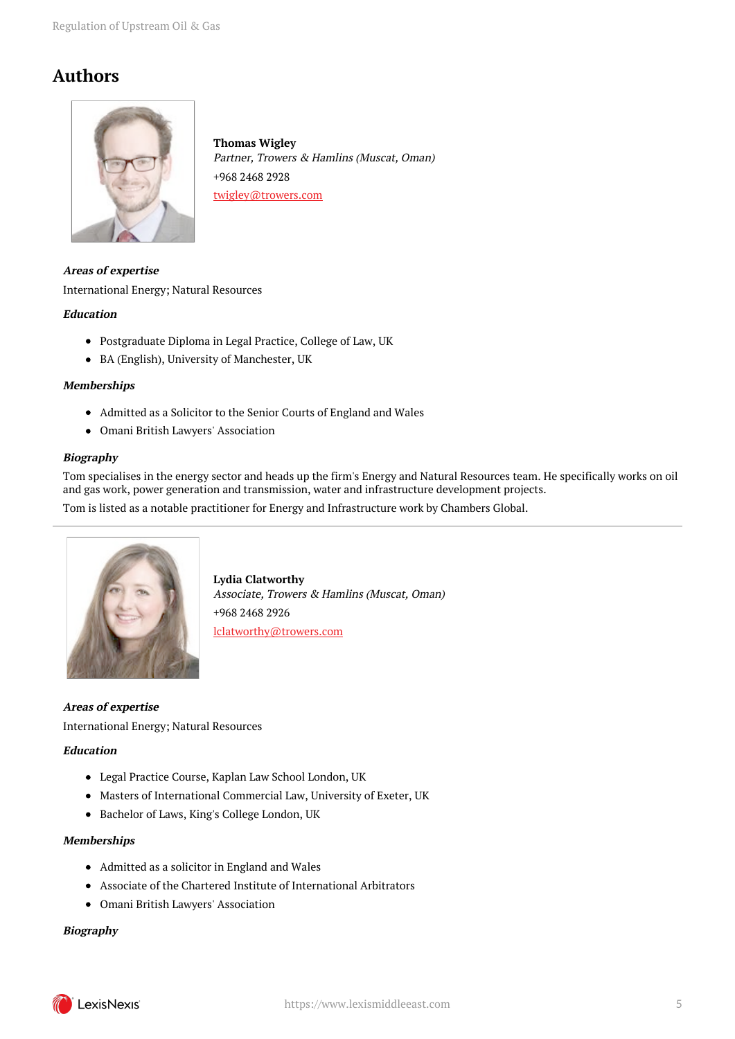## **Authors**



**Thomas Wigley** Partner, Trowers & Hamlins (Muscat, Oman) +968 2468 2928 twigley@trowers.com

**Areas of expertise** International Energy; Natural Resources **Education**

- Postgraduate Diploma in Legal Practice, College of Law, UK
- BA (English), University of Manchester, UK

#### **Memberships**

- Admitted as a Solicitor to the Senior Courts of England and Wales
- Omani British Lawyers' Association

#### **Biography**

Tom specialises in the energy sector and heads up the firm's Energy and Natural Resources team. He specifically works on oil and gas work, power generation and transmission, water and infrastructure development projects.

Tom is listed as a notable practitioner for Energy and Infrastructure work by Chambers Global.



**Lydia Clatworthy** Associate, Trowers & Hamlins (Muscat, Oman) +968 2468 2926 lclatworthy@trowers.com

**Areas of expertise** International Energy; Natural Resources

#### **Education**

- Legal Practice Course, Kaplan Law School London, UK
- Masters of International Commercial Law, University of Exeter, UK
- Bachelor of Laws, King's College London, UK

#### **Memberships**

- Admitted as a solicitor in England and Wales
- Associate of the Chartered Institute of International Arbitrators
- Omani British Lawyers' Association

#### **Biography**